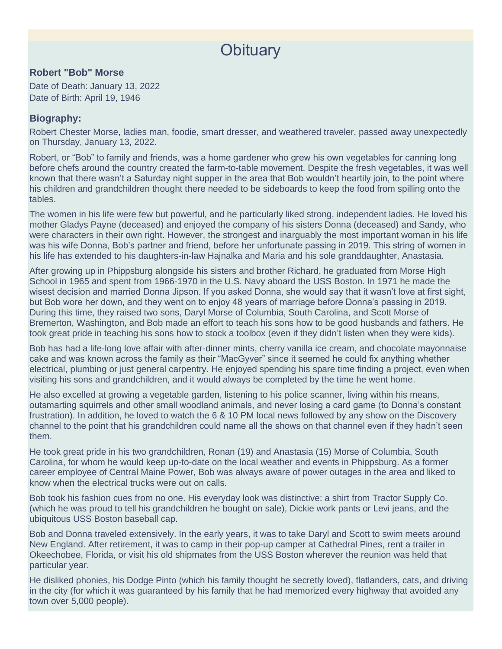## **Obituary**

## **Robert "Bob" Morse**

Date of Death: January 13, 2022 Date of Birth: April 19, 1946

## **Biography:**

Robert Chester Morse, ladies man, foodie, smart dresser, and weathered traveler, passed away unexpectedly on Thursday, January 13, 2022.

Robert, or "Bob" to family and friends, was a home gardener who grew his own vegetables for canning long before chefs around the country created the farm-to-table movement. Despite the fresh vegetables, it was well known that there wasn't a Saturday night supper in the area that Bob wouldn't heartily join, to the point where his children and grandchildren thought there needed to be sideboards to keep the food from spilling onto the tables.

The women in his life were few but powerful, and he particularly liked strong, independent ladies. He loved his mother Gladys Payne (deceased) and enjoyed the company of his sisters Donna (deceased) and Sandy, who were characters in their own right. However, the strongest and inarguably the most important woman in his life was his wife Donna, Bob's partner and friend, before her unfortunate passing in 2019. This string of women in his life has extended to his daughters-in-law Hajnalka and Maria and his sole granddaughter, Anastasia.

After growing up in Phippsburg alongside his sisters and brother Richard, he graduated from Morse High School in 1965 and spent from 1966-1970 in the U.S. Navy aboard the USS Boston. In 1971 he made the wisest decision and married Donna Jipson. If you asked Donna, she would say that it wasn't love at first sight, but Bob wore her down, and they went on to enjoy 48 years of marriage before Donna's passing in 2019. During this time, they raised two sons, Daryl Morse of Columbia, South Carolina, and Scott Morse of Bremerton, Washington, and Bob made an effort to teach his sons how to be good husbands and fathers. He took great pride in teaching his sons how to stock a toolbox (even if they didn't listen when they were kids).

Bob has had a life-long love affair with after-dinner mints, cherry vanilla ice cream, and chocolate mayonnaise cake and was known across the family as their "MacGyver" since it seemed he could fix anything whether electrical, plumbing or just general carpentry. He enjoyed spending his spare time finding a project, even when visiting his sons and grandchildren, and it would always be completed by the time he went home.

He also excelled at growing a vegetable garden, listening to his police scanner, living within his means, outsmarting squirrels and other small woodland animals, and never losing a card game (to Donna's constant frustration). In addition, he loved to watch the 6 & 10 PM local news followed by any show on the Discovery channel to the point that his grandchildren could name all the shows on that channel even if they hadn't seen them.

He took great pride in his two grandchildren, Ronan (19) and Anastasia (15) Morse of Columbia, South Carolina, for whom he would keep up-to-date on the local weather and events in Phippsburg. As a former career employee of Central Maine Power, Bob was always aware of power outages in the area and liked to know when the electrical trucks were out on calls.

Bob took his fashion cues from no one. His everyday look was distinctive: a shirt from Tractor Supply Co. (which he was proud to tell his grandchildren he bought on sale), Dickie work pants or Levi jeans, and the ubiquitous USS Boston baseball cap.

Bob and Donna traveled extensively. In the early years, it was to take Daryl and Scott to swim meets around New England. After retirement, it was to camp in their pop-up camper at Cathedral Pines, rent a trailer in Okeechobee, Florida, or visit his old shipmates from the USS Boston wherever the reunion was held that particular year.

He disliked phonies, his Dodge Pinto (which his family thought he secretly loved), flatlanders, cats, and driving in the city (for which it was guaranteed by his family that he had memorized every highway that avoided any town over 5,000 people).